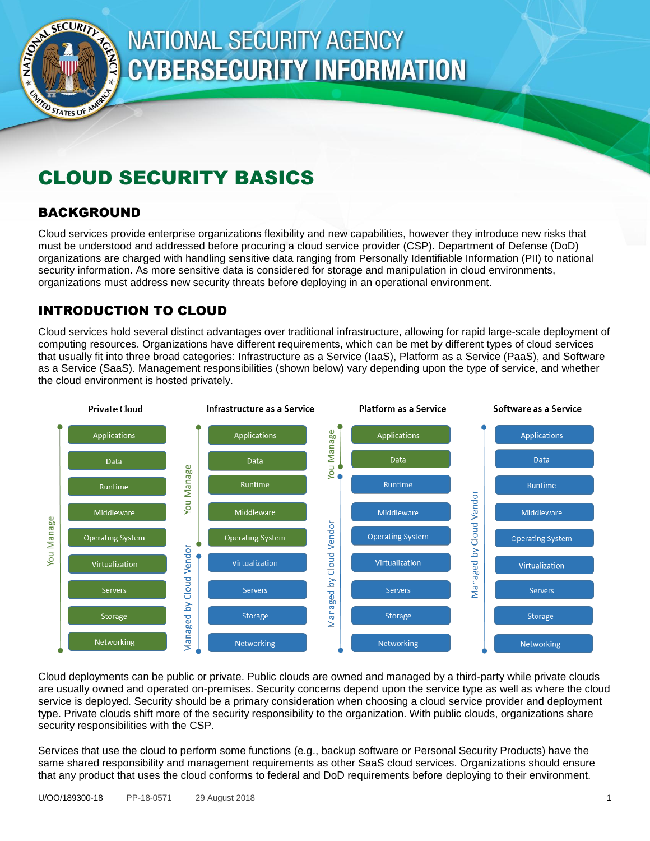

# **NATIONAL SECURITY AGENCY CYBERSECURITY INFORMATION**

## CLOUD SECURITY BASICS

## BACKGROUND

Cloud services provide enterprise organizations flexibility and new capabilities, however they introduce new risks that must be understood and addressed before procuring a cloud service provider (CSP). Department of Defense (DoD) organizations are charged with handling sensitive data ranging from Personally Identifiable Information (PII) to national security information. As more sensitive data is considered for storage and manipulation in cloud environments, organizations must address new security threats before deploying in an operational environment.

## INTRODUCTION TO CLOUD

Cloud services hold several distinct advantages over traditional infrastructure, allowing for rapid large-scale deployment of computing resources. Organizations have different requirements, which can be met by different types of cloud services that usually fit into three broad categories: Infrastructure as a Service (IaaS), Platform as a Service (PaaS), and Software as a Service (SaaS). Management responsibilities (shown below) vary depending upon the type of service, and whether the cloud environment is hosted privately.



Cloud deployments can be public or private. Public clouds are owned and managed by a third-party while private clouds are usually owned and operated on-premises. Security concerns depend upon the service type as well as where the cloud service is deployed. Security should be a primary consideration when choosing a cloud service provider and deployment type. Private clouds shift more of the security responsibility to the organization. With public clouds, organizations share security responsibilities with the CSP.

Services that use the cloud to perform some functions (e.g., backup software or Personal Security Products) have the same shared responsibility and management requirements as other SaaS cloud services. Organizations should ensure that any product that uses the cloud conforms to federal and DoD requirements before deploying to their environment.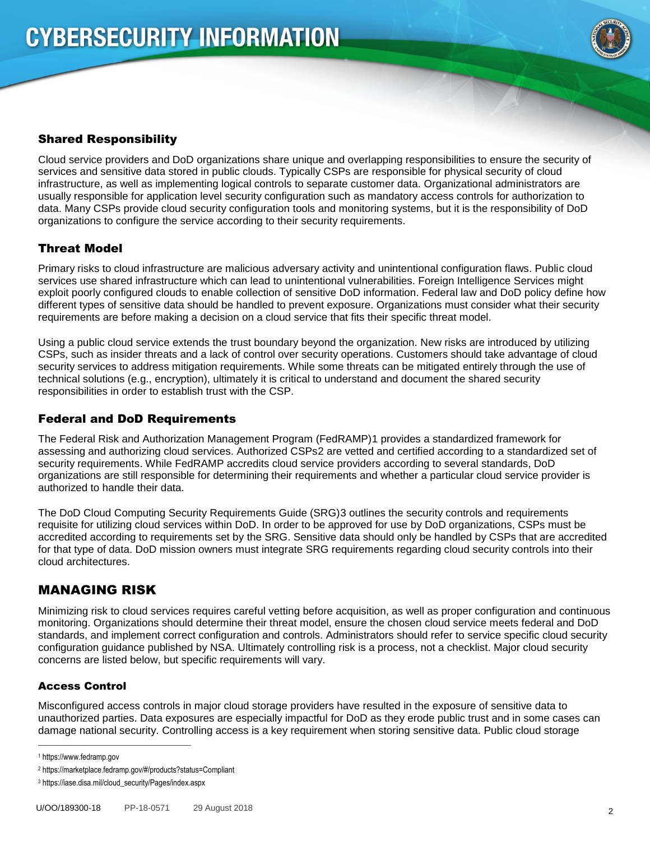

## Shared Responsibility

Cloud service providers and DoD organizations share unique and overlapping responsibilities to ensure the security of services and sensitive data stored in public clouds. Typically CSPs are responsible for physical security of cloud infrastructure, as well as implementing logical controls to separate customer data. Organizational administrators are usually responsible for application level security configuration such as mandatory access controls for authorization to data. Many CSPs provide cloud security configuration tools and monitoring systems, but it is the responsibility of DoD organizations to configure the service according to their security requirements.

## Threat Model

Primary risks to cloud infrastructure are malicious adversary activity and unintentional configuration flaws. Public cloud services use shared infrastructure which can lead to unintentional vulnerabilities. Foreign Intelligence Services might exploit poorly configured clouds to enable collection of sensitive DoD information. Federal law and DoD policy define how different types of sensitive data should be handled to prevent exposure. Organizations must consider what their security requirements are before making a decision on a cloud service that fits their specific threat model.

Using a public cloud service extends the trust boundary beyond the organization. New risks are introduced by utilizing CSPs, such as insider threats and a lack of control over security operations. Customers should take advantage of cloud security services to address mitigation requirements. While some threats can be mitigated entirely through the use of technical solutions (e.g., encryption), ultimately it is critical to understand and document the shared security responsibilities in order to establish trust with the CSP.

## Federal and DoD Requirements

The Federal Risk and Authorization Management Program (FedRAMP)1 provides a standardized framework for assessing and authorizing cloud services. Authorized CSPs2 are vetted and certified according to a standardized set of security requirements. While FedRAMP accredits cloud service providers according to several standards, DoD organizations are still responsible for determining their requirements and whether a particular cloud service provider is authorized to handle their data.

The DoD Cloud Computing Security Requirements Guide (SRG)3 outlines the security controls and requirements requisite for utilizing cloud services within DoD. In order to be approved for use by DoD organizations, CSPs must be accredited according to requirements set by the SRG. Sensitive data should only be handled by CSPs that are accredited for that type of data. DoD mission owners must integrate SRG requirements regarding cloud security controls into their cloud architectures.

## MANAGING RISK

Minimizing risk to cloud services requires careful vetting before acquisition, as well as proper configuration and continuous monitoring. Organizations should determine their threat model, ensure the chosen cloud service meets federal and DoD standards, and implement correct configuration and controls. Administrators should refer to service specific cloud security configuration guidance published by NSA. Ultimately controlling risk is a process, not a checklist. Major cloud security concerns are listed below, but specific requirements will vary.

#### Access Control

Misconfigured access controls in major cloud storage providers have resulted in the exposure of sensitive data to unauthorized parties. Data exposures are especially impactful for DoD as they erode public trust and in some cases can damage national security. Controlling access is a key requirement when storing sensitive data. Public cloud storage

 $\overline{a}$ 

<sup>1</sup> https://www.fedramp.gov

<sup>2</sup> https://marketplace.fedramp.gov/#/products?status=Compliant

<sup>3</sup> https://iase.disa.mil/cloud\_security/Pages/index.aspx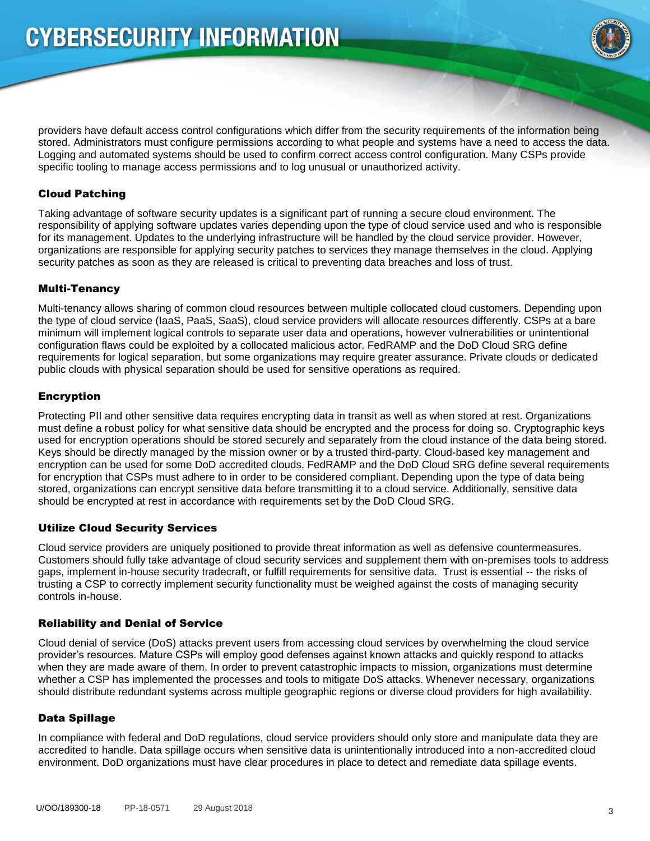

providers have default access control configurations which differ from the security requirements of the information being stored. Administrators must configure permissions according to what people and systems have a need to access the data. Logging and automated systems should be used to confirm correct access control configuration. Many CSPs provide specific tooling to manage access permissions and to log unusual or unauthorized activity.

#### Cloud Patching

Taking advantage of software security updates is a significant part of running a secure cloud environment. The responsibility of applying software updates varies depending upon the type of cloud service used and who is responsible for its management. Updates to the underlying infrastructure will be handled by the cloud service provider. However, organizations are responsible for applying security patches to services they manage themselves in the cloud. Applying security patches as soon as they are released is critical to preventing data breaches and loss of trust.

#### Multi-Tenancy

Multi-tenancy allows sharing of common cloud resources between multiple collocated cloud customers. Depending upon the type of cloud service (IaaS, PaaS, SaaS), cloud service providers will allocate resources differently. CSPs at a bare minimum will implement logical controls to separate user data and operations, however vulnerabilities or unintentional configuration flaws could be exploited by a collocated malicious actor. FedRAMP and the DoD Cloud SRG define requirements for logical separation, but some organizations may require greater assurance. Private clouds or dedicated public clouds with physical separation should be used for sensitive operations as required.

#### Encryption

Protecting PII and other sensitive data requires encrypting data in transit as well as when stored at rest. Organizations must define a robust policy for what sensitive data should be encrypted and the process for doing so. Cryptographic keys used for encryption operations should be stored securely and separately from the cloud instance of the data being stored. Keys should be directly managed by the mission owner or by a trusted third-party. Cloud-based key management and encryption can be used for some DoD accredited clouds. FedRAMP and the DoD Cloud SRG define several requirements for encryption that CSPs must adhere to in order to be considered compliant. Depending upon the type of data being stored, organizations can encrypt sensitive data before transmitting it to a cloud service. Additionally, sensitive data should be encrypted at rest in accordance with requirements set by the DoD Cloud SRG.

#### Utilize Cloud Security Services

Cloud service providers are uniquely positioned to provide threat information as well as defensive countermeasures. Customers should fully take advantage of cloud security services and supplement them with on-premises tools to address gaps, implement in-house security tradecraft, or fulfill requirements for sensitive data. Trust is essential -- the risks of trusting a CSP to correctly implement security functionality must be weighed against the costs of managing security controls in-house.

#### Reliability and Denial of Service

Cloud denial of service (DoS) attacks prevent users from accessing cloud services by overwhelming the cloud service provider's resources. Mature CSPs will employ good defenses against known attacks and quickly respond to attacks when they are made aware of them. In order to prevent catastrophic impacts to mission, organizations must determine whether a CSP has implemented the processes and tools to mitigate DoS attacks. Whenever necessary, organizations should distribute redundant systems across multiple geographic regions or diverse cloud providers for high availability.

#### Data Spillage

In compliance with federal and DoD regulations, cloud service providers should only store and manipulate data they are accredited to handle. Data spillage occurs when sensitive data is unintentionally introduced into a non-accredited cloud environment. DoD organizations must have clear procedures in place to detect and remediate data spillage events.